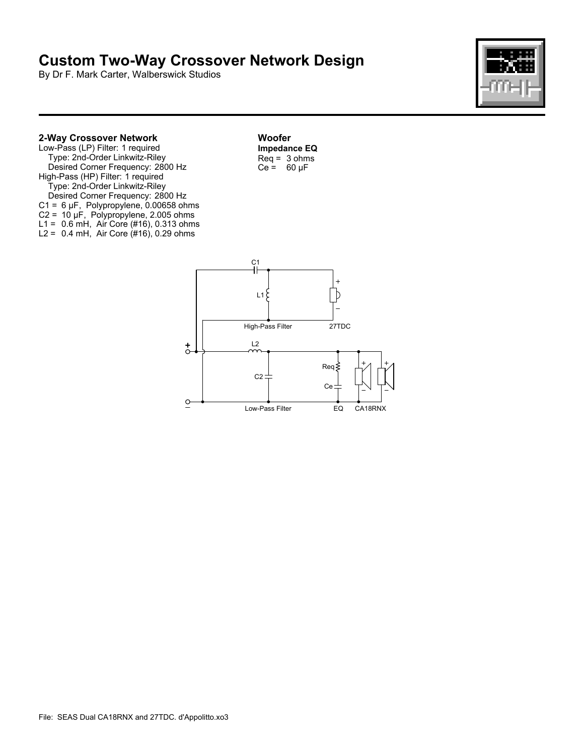## **Custom Two-Way Crossover Network Design**

By Dr F. Mark Carter, Walberswick Studios



## **2-Way Crossover Network**

Low-Pass (LP) Filter: 1 required Type: 2nd-Order Linkwitz-Riley Desired Corner Frequency: 2800 Hz High-Pass (HP) Filter: 1 required Type: 2nd-Order Linkwitz-Riley Desired Corner Frequency: 2800 Hz C1 = 6 µF, Polypropylene, 0.00658 ohms C2 = 10 µF, Polypropylene, 2.005 ohms L1 = 0.6 mH, Air Core (#16), 0.313 ohms L2 = 0.4 mH, Air Core (#16), 0.29 ohms

**Woofer Impedance EQ**  $Req = 3 ohms$  $Ce = 60 \mu F$ 

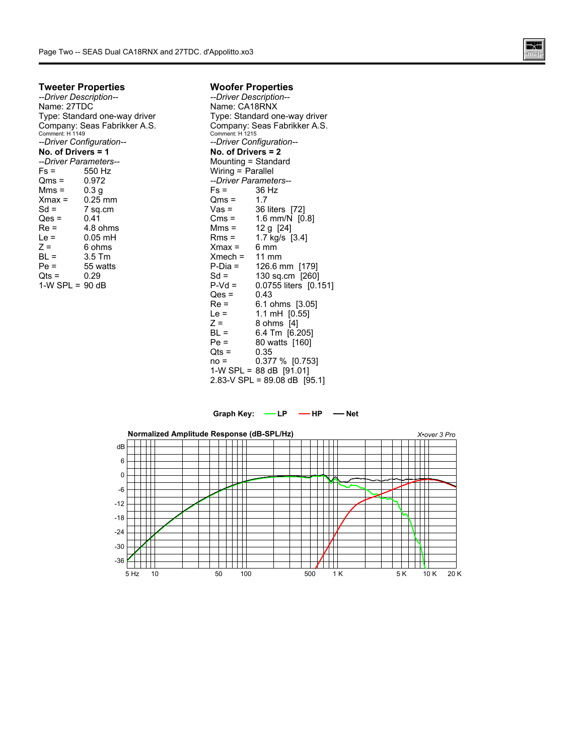

## **Tweeter Properties**

*--Driver Description--* Name: 27TDC Type: Standard one-way driver Company: Seas Fabrikker A.S. Comment: H 1149 *--Driver Configuration--* **No. of Drivers = 1** *--Driver Parameters--* Fs = 550 Hz<br>Qms = 0.972 Qms = 0.972<br>Mms = 0.3 g  $Mms =$  $Xmax =$  $Xmax = 0.25$  mm<br>Sd = 7 sq.cm  $7$  sq.cm<br> $0.41$  $Qes =$  $Re =$  4.8 ohms<br>Le = 0.05 mH  $0.05$  mH  $Z =$  6 ohms<br>BL = 3.5 Tm BL = 3.5 Tm<br>
Pe = 55 watt 55 watts<br>0.29  $Qts =$  $1-W$  SPL = 90 dB

## **Woofer Properties**

*--Driver Description--* Name: CA18RNX Type: Standard one-way driver Company: Seas Fabrikker A.S. Comment: H 1215 *--Driver Configuration--* **No. of Drivers = 2** Mounting = Standard Wiring = Parallel *--Driver Parameters--* 36 Hz<br>1.7  $Qms =$ <br>Vas = Vas = 36 liters [72]<br>Cms = 1.6 mm/N 10 Cms = 1.6 mm/N [0.8]<br>Mms = 12 q [24] Mms = 12 g [24]<br>Rms = 1.7 kg/s [ 1.7  $kg/s$  [3.4]  $Xmax = 6 min$ <br> $Xmech = 11 mm$  $Xmech =$ <br> $P-Dia =$ P-Dia = 126.6 mm [179]<br>Sd = 130 sq cm [260] Sd = 130 sq.cm [260]<br>P-Vd = 0.0755 liters [0.1] 0.0755 liters [0.151]<br>0.43  $Qes = Re$ Re = 6.1 ohms [3.05]<br>Le = 1.1 mH [0.55] Le =  $1.1 \text{ mH}$  [0.55]<br> $Z = 8 \text{ ohms}$  [4]  $Z = 8 \text{ ohms} [4]$ <br>BL = 6.4 Tm  $16.2$  $6.4$  Tm  $[6.205]$ Pe = 80 watts [160]  $Qts = 0.35$ <br>no = 0.37 0.377 % [0.753] 1-W SPL =  $88$  dB  $[91.01]$ 2.83-V SPL = 89.08 dB [95.1]

Graph Key:  $\longrightarrow$  LP  $\longrightarrow$  HP  $\longrightarrow$  Net